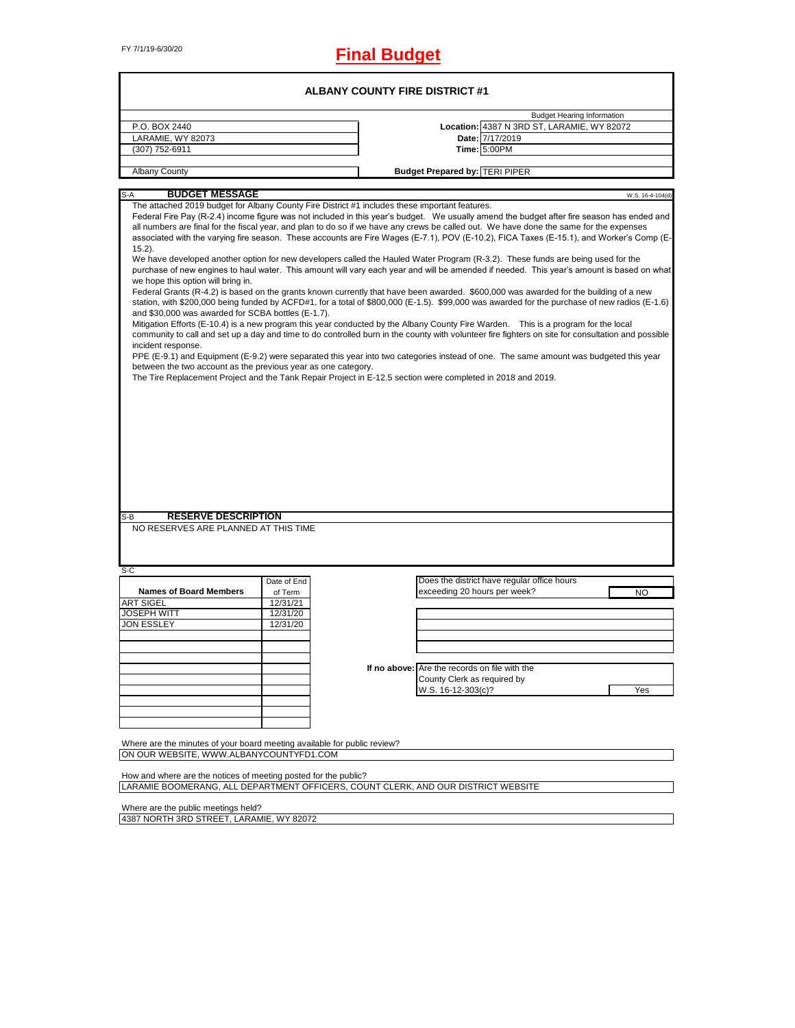# FY 7/1/19-6/30/20 **Final Budget**

| <b>ALBANY COUNTY FIRE DISTRICT #1</b>                                                                                                                                                                                                                                                                                                                                                                                                                                                                                                                                                                                                                                                                                                                                                                                                                                                                                                                                                                                                                                                                                                                                                                                                                                                                                                                                                                                                                                                                                                                                                                                                                                                                                                                           |                        |  |                                                                             |                                   |  |  |  |
|-----------------------------------------------------------------------------------------------------------------------------------------------------------------------------------------------------------------------------------------------------------------------------------------------------------------------------------------------------------------------------------------------------------------------------------------------------------------------------------------------------------------------------------------------------------------------------------------------------------------------------------------------------------------------------------------------------------------------------------------------------------------------------------------------------------------------------------------------------------------------------------------------------------------------------------------------------------------------------------------------------------------------------------------------------------------------------------------------------------------------------------------------------------------------------------------------------------------------------------------------------------------------------------------------------------------------------------------------------------------------------------------------------------------------------------------------------------------------------------------------------------------------------------------------------------------------------------------------------------------------------------------------------------------------------------------------------------------------------------------------------------------|------------------------|--|-----------------------------------------------------------------------------|-----------------------------------|--|--|--|
|                                                                                                                                                                                                                                                                                                                                                                                                                                                                                                                                                                                                                                                                                                                                                                                                                                                                                                                                                                                                                                                                                                                                                                                                                                                                                                                                                                                                                                                                                                                                                                                                                                                                                                                                                                 |                        |  |                                                                             | <b>Budget Hearing Information</b> |  |  |  |
| P.O. BOX 2440                                                                                                                                                                                                                                                                                                                                                                                                                                                                                                                                                                                                                                                                                                                                                                                                                                                                                                                                                                                                                                                                                                                                                                                                                                                                                                                                                                                                                                                                                                                                                                                                                                                                                                                                                   |                        |  | Location: 4387 N 3RD ST, LARAMIE, WY 82072                                  |                                   |  |  |  |
| LARAMIE, WY 82073                                                                                                                                                                                                                                                                                                                                                                                                                                                                                                                                                                                                                                                                                                                                                                                                                                                                                                                                                                                                                                                                                                                                                                                                                                                                                                                                                                                                                                                                                                                                                                                                                                                                                                                                               |                        |  | Date: 7/17/2019                                                             |                                   |  |  |  |
| (307) 752-6911                                                                                                                                                                                                                                                                                                                                                                                                                                                                                                                                                                                                                                                                                                                                                                                                                                                                                                                                                                                                                                                                                                                                                                                                                                                                                                                                                                                                                                                                                                                                                                                                                                                                                                                                                  |                        |  | <b>Time: 5:00PM</b>                                                         |                                   |  |  |  |
|                                                                                                                                                                                                                                                                                                                                                                                                                                                                                                                                                                                                                                                                                                                                                                                                                                                                                                                                                                                                                                                                                                                                                                                                                                                                                                                                                                                                                                                                                                                                                                                                                                                                                                                                                                 |                        |  |                                                                             |                                   |  |  |  |
| <b>Albany County</b>                                                                                                                                                                                                                                                                                                                                                                                                                                                                                                                                                                                                                                                                                                                                                                                                                                                                                                                                                                                                                                                                                                                                                                                                                                                                                                                                                                                                                                                                                                                                                                                                                                                                                                                                            |                        |  | <b>Budget Prepared by: TERI PIPER</b>                                       |                                   |  |  |  |
| <b>BUDGET MESSAGE</b><br>S-A                                                                                                                                                                                                                                                                                                                                                                                                                                                                                                                                                                                                                                                                                                                                                                                                                                                                                                                                                                                                                                                                                                                                                                                                                                                                                                                                                                                                                                                                                                                                                                                                                                                                                                                                    |                        |  |                                                                             | W.S. 16-4-104(d)                  |  |  |  |
| Federal Fire Pay (R-2.4) income figure was not included in this year's budget. We usually amend the budget after fire season has ended and<br>all numbers are final for the fiscal year, and plan to do so if we have any crews be called out. We have done the same for the expenses<br>associated with the varying fire season. These accounts are Fire Wages (E-7.1), POV (E-10.2), FICA Taxes (E-15.1), and Worker's Comp (E-<br>$15.2$ ).<br>We have developed another option for new developers called the Hauled Water Program (R-3.2). These funds are being used for the<br>purchase of new engines to haul water. This amount will vary each year and will be amended if needed. This year's amount is based on what<br>we hope this option will bring in.<br>Federal Grants (R-4.2) is based on the grants known currently that have been awarded. \$600,000 was awarded for the building of a new<br>station, with \$200,000 being funded by ACFD#1, for a total of \$800,000 (E-1.5). \$99,000 was awarded for the purchase of new radios (E-1.6)<br>and \$30,000 was awarded for SCBA bottles (E-1.7).<br>Mitigation Efforts (E-10.4) is a new program this year conducted by the Albany County Fire Warden. This is a program for the local<br>community to call and set up a day and time to do controlled burn in the county with volunteer fire fighters on site for consultation and possible<br>incident response.<br>PPE (E-9.1) and Equipment (E-9.2) were separated this year into two categories instead of one. The same amount was budgeted this year<br>between the two account as the previous year as one category.<br>The Tire Replacement Project and the Tank Repair Project in E-12.5 section were completed in 2018 and 2019. |                        |  |                                                                             |                                   |  |  |  |
| <b>RESERVE DESCRIPTION</b><br>S-B                                                                                                                                                                                                                                                                                                                                                                                                                                                                                                                                                                                                                                                                                                                                                                                                                                                                                                                                                                                                                                                                                                                                                                                                                                                                                                                                                                                                                                                                                                                                                                                                                                                                                                                               |                        |  |                                                                             |                                   |  |  |  |
| NO RESERVES ARE PLANNED AT THIS TIME                                                                                                                                                                                                                                                                                                                                                                                                                                                                                                                                                                                                                                                                                                                                                                                                                                                                                                                                                                                                                                                                                                                                                                                                                                                                                                                                                                                                                                                                                                                                                                                                                                                                                                                            |                        |  |                                                                             |                                   |  |  |  |
| S-C                                                                                                                                                                                                                                                                                                                                                                                                                                                                                                                                                                                                                                                                                                                                                                                                                                                                                                                                                                                                                                                                                                                                                                                                                                                                                                                                                                                                                                                                                                                                                                                                                                                                                                                                                             |                        |  |                                                                             |                                   |  |  |  |
| <b>Names of Board Members</b>                                                                                                                                                                                                                                                                                                                                                                                                                                                                                                                                                                                                                                                                                                                                                                                                                                                                                                                                                                                                                                                                                                                                                                                                                                                                                                                                                                                                                                                                                                                                                                                                                                                                                                                                   | Date of End<br>of Term |  | Does the district have regular office hours<br>exceeding 20 hours per week? | NO                                |  |  |  |
| <b>ART SIGEL</b>                                                                                                                                                                                                                                                                                                                                                                                                                                                                                                                                                                                                                                                                                                                                                                                                                                                                                                                                                                                                                                                                                                                                                                                                                                                                                                                                                                                                                                                                                                                                                                                                                                                                                                                                                | 12/31/21               |  |                                                                             |                                   |  |  |  |
| <b>JOSEPH WITT</b>                                                                                                                                                                                                                                                                                                                                                                                                                                                                                                                                                                                                                                                                                                                                                                                                                                                                                                                                                                                                                                                                                                                                                                                                                                                                                                                                                                                                                                                                                                                                                                                                                                                                                                                                              | 12/31/20               |  |                                                                             |                                   |  |  |  |
| <b>JON ESSLEY</b>                                                                                                                                                                                                                                                                                                                                                                                                                                                                                                                                                                                                                                                                                                                                                                                                                                                                                                                                                                                                                                                                                                                                                                                                                                                                                                                                                                                                                                                                                                                                                                                                                                                                                                                                               | 12/31/20               |  |                                                                             |                                   |  |  |  |
|                                                                                                                                                                                                                                                                                                                                                                                                                                                                                                                                                                                                                                                                                                                                                                                                                                                                                                                                                                                                                                                                                                                                                                                                                                                                                                                                                                                                                                                                                                                                                                                                                                                                                                                                                                 |                        |  |                                                                             |                                   |  |  |  |
|                                                                                                                                                                                                                                                                                                                                                                                                                                                                                                                                                                                                                                                                                                                                                                                                                                                                                                                                                                                                                                                                                                                                                                                                                                                                                                                                                                                                                                                                                                                                                                                                                                                                                                                                                                 |                        |  |                                                                             |                                   |  |  |  |
|                                                                                                                                                                                                                                                                                                                                                                                                                                                                                                                                                                                                                                                                                                                                                                                                                                                                                                                                                                                                                                                                                                                                                                                                                                                                                                                                                                                                                                                                                                                                                                                                                                                                                                                                                                 |                        |  |                                                                             |                                   |  |  |  |
|                                                                                                                                                                                                                                                                                                                                                                                                                                                                                                                                                                                                                                                                                                                                                                                                                                                                                                                                                                                                                                                                                                                                                                                                                                                                                                                                                                                                                                                                                                                                                                                                                                                                                                                                                                 |                        |  | If no above: Are the records on file with the                               |                                   |  |  |  |
|                                                                                                                                                                                                                                                                                                                                                                                                                                                                                                                                                                                                                                                                                                                                                                                                                                                                                                                                                                                                                                                                                                                                                                                                                                                                                                                                                                                                                                                                                                                                                                                                                                                                                                                                                                 |                        |  | County Clerk as required by                                                 |                                   |  |  |  |
|                                                                                                                                                                                                                                                                                                                                                                                                                                                                                                                                                                                                                                                                                                                                                                                                                                                                                                                                                                                                                                                                                                                                                                                                                                                                                                                                                                                                                                                                                                                                                                                                                                                                                                                                                                 |                        |  | W.S. 16-12-303(c)?                                                          | Yes                               |  |  |  |
|                                                                                                                                                                                                                                                                                                                                                                                                                                                                                                                                                                                                                                                                                                                                                                                                                                                                                                                                                                                                                                                                                                                                                                                                                                                                                                                                                                                                                                                                                                                                                                                                                                                                                                                                                                 |                        |  |                                                                             |                                   |  |  |  |
|                                                                                                                                                                                                                                                                                                                                                                                                                                                                                                                                                                                                                                                                                                                                                                                                                                                                                                                                                                                                                                                                                                                                                                                                                                                                                                                                                                                                                                                                                                                                                                                                                                                                                                                                                                 |                        |  |                                                                             |                                   |  |  |  |
|                                                                                                                                                                                                                                                                                                                                                                                                                                                                                                                                                                                                                                                                                                                                                                                                                                                                                                                                                                                                                                                                                                                                                                                                                                                                                                                                                                                                                                                                                                                                                                                                                                                                                                                                                                 |                        |  |                                                                             |                                   |  |  |  |
|                                                                                                                                                                                                                                                                                                                                                                                                                                                                                                                                                                                                                                                                                                                                                                                                                                                                                                                                                                                                                                                                                                                                                                                                                                                                                                                                                                                                                                                                                                                                                                                                                                                                                                                                                                 |                        |  |                                                                             |                                   |  |  |  |
| Where are the minutes of your board meeting available for public review?                                                                                                                                                                                                                                                                                                                                                                                                                                                                                                                                                                                                                                                                                                                                                                                                                                                                                                                                                                                                                                                                                                                                                                                                                                                                                                                                                                                                                                                                                                                                                                                                                                                                                        |                        |  |                                                                             |                                   |  |  |  |
| ON OUR WEBSITE, WWW.ALBANYCOUNTYFD1.COM                                                                                                                                                                                                                                                                                                                                                                                                                                                                                                                                                                                                                                                                                                                                                                                                                                                                                                                                                                                                                                                                                                                                                                                                                                                                                                                                                                                                                                                                                                                                                                                                                                                                                                                         |                        |  |                                                                             |                                   |  |  |  |
|                                                                                                                                                                                                                                                                                                                                                                                                                                                                                                                                                                                                                                                                                                                                                                                                                                                                                                                                                                                                                                                                                                                                                                                                                                                                                                                                                                                                                                                                                                                                                                                                                                                                                                                                                                 |                        |  |                                                                             |                                   |  |  |  |
| How and where are the notices of meeting posted for the public?                                                                                                                                                                                                                                                                                                                                                                                                                                                                                                                                                                                                                                                                                                                                                                                                                                                                                                                                                                                                                                                                                                                                                                                                                                                                                                                                                                                                                                                                                                                                                                                                                                                                                                 |                        |  |                                                                             |                                   |  |  |  |
| LARAMIE BOOMERANG, ALL DEPARTMENT OFFICERS, COUNT CLERK, AND OUR DISTRICT WEBSITE                                                                                                                                                                                                                                                                                                                                                                                                                                                                                                                                                                                                                                                                                                                                                                                                                                                                                                                                                                                                                                                                                                                                                                                                                                                                                                                                                                                                                                                                                                                                                                                                                                                                               |                        |  |                                                                             |                                   |  |  |  |
|                                                                                                                                                                                                                                                                                                                                                                                                                                                                                                                                                                                                                                                                                                                                                                                                                                                                                                                                                                                                                                                                                                                                                                                                                                                                                                                                                                                                                                                                                                                                                                                                                                                                                                                                                                 |                        |  |                                                                             |                                   |  |  |  |

Where are the public meetings held? 4387 NORTH 3RD STREET, LARAMIE, WY 82072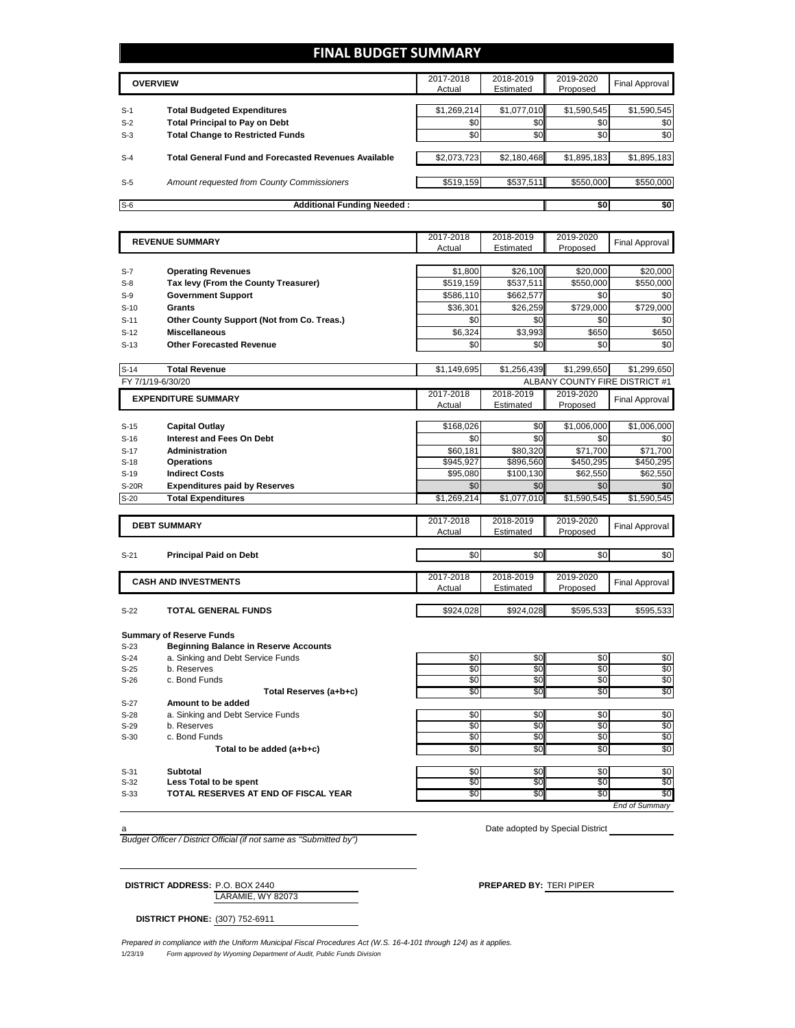#### **FINAL BUDGET SUMMARY**

|       | <b>OVERVIEW</b>                                             | 2017-2018<br>Actual | 2018-2019<br>Estimated | 2019-2020<br>Proposed | <b>Final Approval</b> |
|-------|-------------------------------------------------------------|---------------------|------------------------|-----------------------|-----------------------|
| $S-1$ | <b>Total Budgeted Expenditures</b>                          | \$1,269,214         | \$1,077,010            | \$1,590,545           | \$1,590,545           |
| $S-2$ | <b>Total Principal to Pay on Debt</b>                       | \$0                 | \$0 <sub>1</sub>       | \$0                   | \$0                   |
| $S-3$ | <b>Total Change to Restricted Funds</b>                     | \$0                 | \$0 <sub>1</sub>       | \$0                   | \$0                   |
| $S-4$ | <b>Total General Fund and Forecasted Revenues Available</b> | \$2,073,723         | \$2,180,468            | \$1,895,183           | \$1,895,183           |
| $S-5$ | Amount requested from County Commissioners                  | \$519,159           | \$537,511              | \$550,000             | \$550,000             |
| $S-6$ | <b>Additional Funding Needed:</b>                           |                     |                        | \$0                   | \$0                   |

|        | <b>REVENUE SUMMARY</b>                       | 2017-2018   | 2018-2019   | 2019-2020                      | <b>Final Approval</b> |
|--------|----------------------------------------------|-------------|-------------|--------------------------------|-----------------------|
|        |                                              | Actual      | Estimated   | Proposed                       |                       |
|        |                                              |             |             |                                |                       |
| S-7    | <b>Operating Revenues</b>                    | \$1,800     | \$26,100    | \$20,000                       | \$20,000              |
| $S-8$  | Tax levy (From the County Treasurer)         | \$519,159   | \$537,511   | \$550,000                      | \$550,000             |
| $S-9$  | <b>Government Support</b>                    | \$586,110   | \$662,577   | \$0                            | \$0                   |
| $S-10$ | <b>Grants</b>                                | \$36,301    | \$26,259    | \$729,000                      | \$729,000             |
| $S-11$ | Other County Support (Not from Co. Treas.)   | \$0         | \$0         | \$0                            | \$0                   |
| $S-12$ | <b>Miscellaneous</b>                         | \$6,324     | \$3,993     | \$650                          | \$650                 |
| $S-13$ | <b>Other Forecasted Revenue</b>              | \$0         | \$0         | \$0                            | \$0                   |
|        |                                              |             |             |                                |                       |
| $S-14$ | <b>Total Revenue</b>                         | \$1,149,695 | \$1,256,439 | \$1,299,650                    | \$1,299,650           |
|        | FY 7/1/19-6/30/20                            |             |             | ALBANY COUNTY FIRE DISTRICT #1 |                       |
|        | <b>EXPENDITURE SUMMARY</b>                   | 2017-2018   | 2018-2019   | 2019-2020                      | Final Approval        |
|        |                                              | Actual      | Estimated   | Proposed                       |                       |
| $S-15$ | <b>Capital Outlay</b>                        | \$168,026   | \$0         | \$1,006,000                    | \$1,006,000           |
| $S-16$ | <b>Interest and Fees On Debt</b>             | \$0         | \$0         | \$0                            | \$0                   |
| $S-17$ | <b>Administration</b>                        | \$60,181    | \$80.320    | \$71,700                       | \$71,700              |
| $S-18$ | <b>Operations</b>                            | \$945,927   | \$896,560   | \$450,295                      | \$450,295             |
| $S-19$ | <b>Indirect Costs</b>                        | \$95,080    | \$100,130   | \$62,550                       | \$62,550              |
| S-20R  | <b>Expenditures paid by Reserves</b>         | \$0         | \$0         | \$0                            | \$0                   |
| $S-20$ | <b>Total Expenditures</b>                    | \$1,269,214 | \$1,077,010 | \$1,590,545                    | \$1,590,545           |
|        |                                              |             |             |                                |                       |
|        |                                              | 2017-2018   | 2018-2019   | 2019-2020                      |                       |
|        | <b>DEBT SUMMARY</b>                          | Actual      | Estimated   | Proposed                       | Final Approval        |
|        |                                              |             |             |                                |                       |
| $S-21$ | <b>Principal Paid on Debt</b>                | \$0         | \$0         | \$0                            | \$0                   |
|        |                                              |             |             |                                |                       |
|        | <b>CASH AND INVESTMENTS</b>                  | 2017-2018   | 2018-2019   | 2019-2020                      | <b>Final Approval</b> |
|        |                                              | Actual      | Estimated   | Proposed                       |                       |
| $S-22$ | <b>TOTAL GENERAL FUNDS</b>                   | \$924,028   | \$924,028   | \$595,533                      | \$595,533             |
|        |                                              |             |             |                                |                       |
|        | <b>Summary of Reserve Funds</b>              |             |             |                                |                       |
| $S-23$ | <b>Beginning Balance in Reserve Accounts</b> |             |             |                                |                       |
| $S-24$ | a. Sinking and Debt Service Funds            | \$0         | \$0         | \$0                            | \$0                   |
| $S-25$ | b. Reserves                                  | \$0         | \$0         | \$0                            | $\overline{50}$       |
| $S-26$ | c. Bond Funds                                | \$0         | \$0         | \$0                            | \$0                   |
|        | Total Reserves (a+b+c)                       | \$0         | \$0         | \$0                            | \$0                   |
| $S-27$ | Amount to be added                           |             |             |                                |                       |
| $S-28$ | a. Sinking and Debt Service Funds            | \$0         | \$0         | \$0                            | \$0                   |
| $S-29$ | b. Reserves                                  | \$0         | \$0         | \$0                            | \$0                   |
| $S-30$ | c. Bond Funds                                | \$0         | \$0         | \$0                            | \$0                   |
|        | Total to be added (a+b+c)                    | \$0         | \$0         | \$0                            | \$0                   |
|        |                                              |             |             |                                |                       |
| $S-31$ | <b>Subtotal</b>                              | \$0         | \$0         | \$0                            | \$0                   |

S-31 Subtotal Subset Superintent Superintent Superintent Superintent Superintent Superintent Superintent Superint<br>S-32 **Less Total to be spent** Superintent Superintent Superintent Superintent Superintent Superintent Superi S-33 **TOTAL RESERVES AT END OF FISCAL YEAR** \$0 \$0 \$0 \$0

*End of Summary*

*Budget Officer / District Official (if not same as "Submitted by")*

a Date adopted by Special District

LARAMIE, WY 82073 **DISTRICT ADDRESS:** P.O. BOX 2440 **PREPARED BY:** TERI PIPER

**DISTRICT PHONE:** (307) 752-6911

1/23/19 *Form approved by Wyoming Department of Audit, Public Funds Division Prepared in compliance with the Uniform Municipal Fiscal Procedures Act (W.S. 16-4-101 through 124) as it applies.*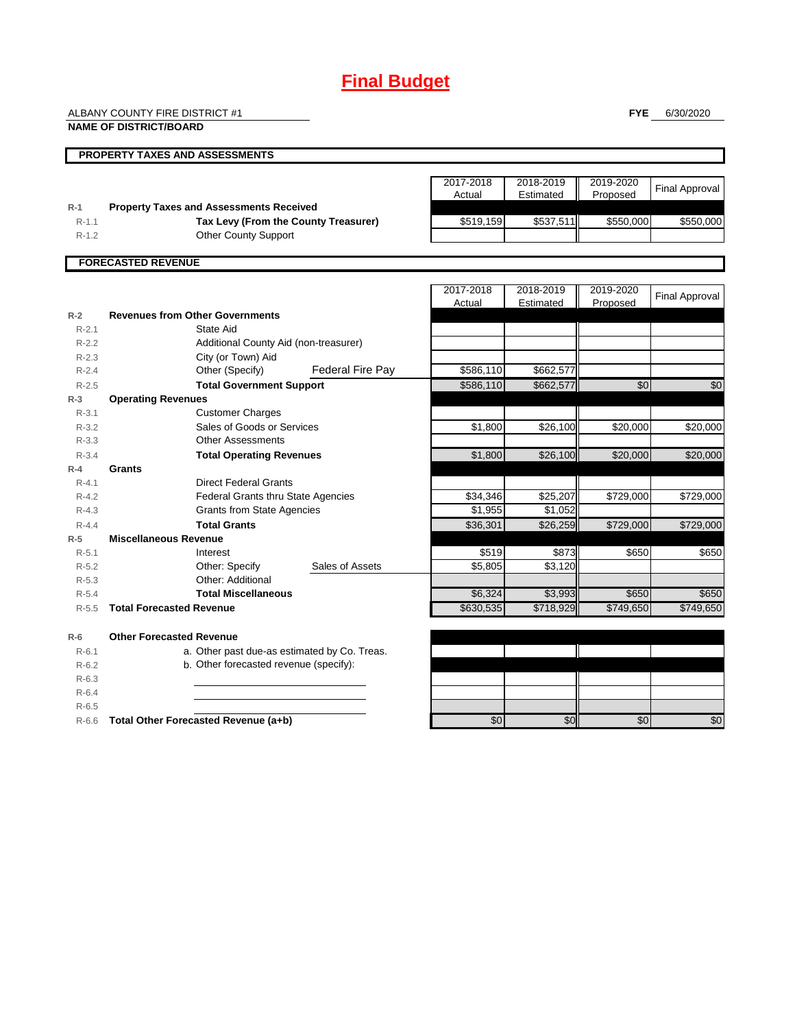## **Final Budget**

ALBANY COUNTY FIRE DISTRICT #1

**NAME OF DISTRICT/BOARD**

**FYE** 6/30/2020

|           | <b>PROPERTY TAXES AND ASSESSMENTS</b>                     |           |           |                 |                       |
|-----------|-----------------------------------------------------------|-----------|-----------|-----------------|-----------------------|
|           |                                                           |           |           |                 |                       |
|           |                                                           | 2017-2018 | 2018-2019 | 2019-2020       | <b>Final Approval</b> |
|           |                                                           | Actual    | Estimated | Proposed        |                       |
| $R-1$     | <b>Property Taxes and Assessments Received</b>            |           |           |                 |                       |
| $R - 1.1$ | Tax Levy (From the County Treasurer)                      | \$519,159 | \$537,511 | \$550,000       | \$550,000             |
| $R - 1.2$ | <b>Other County Support</b>                               |           |           |                 |                       |
|           |                                                           |           |           |                 |                       |
|           | <b>FORECASTED REVENUE</b>                                 |           |           |                 |                       |
|           |                                                           |           |           |                 |                       |
|           |                                                           | 2017-2018 | 2018-2019 | 2019-2020       | <b>Final Approval</b> |
| $R-2$     | <b>Revenues from Other Governments</b>                    | Actual    | Estimated | Proposed        |                       |
| $R - 2.1$ | State Aid                                                 |           |           |                 |                       |
| $R-2.2$   | Additional County Aid (non-treasurer)                     |           |           |                 |                       |
| $R-2.3$   |                                                           |           |           |                 |                       |
| $R - 2.4$ | City (or Town) Aid<br>Federal Fire Pay<br>Other (Specify) | \$586,110 | \$662,577 |                 |                       |
|           |                                                           |           |           |                 |                       |
| $R - 2.5$ | <b>Total Government Support</b>                           | \$586,110 | \$662,577 | $\overline{50}$ | \$0                   |
| $R-3$     | <b>Operating Revenues</b>                                 |           |           |                 |                       |
| $R - 3.1$ | <b>Customer Charges</b>                                   |           |           |                 |                       |
| $R - 3.2$ | Sales of Goods or Services                                | \$1,800   | \$26,100  | \$20,000        | \$20,000              |
| $R - 3.3$ | <b>Other Assessments</b>                                  |           |           |                 |                       |
| $R - 3.4$ | <b>Total Operating Revenues</b>                           | \$1,800   | \$26,100  | \$20,000        | \$20,000              |
| $R-4$     | Grants                                                    |           |           |                 |                       |
| $R - 4.1$ | <b>Direct Federal Grants</b>                              |           |           |                 |                       |
| $R - 4.2$ | <b>Federal Grants thru State Agencies</b>                 | \$34,346  | \$25,207  | \$729,000       | \$729,000             |
| $R - 4.3$ | <b>Grants from State Agencies</b>                         | \$1,955   | \$1,052   |                 |                       |
| $R - 4.4$ | <b>Total Grants</b>                                       | \$36,301  | \$26,259  | \$729,000       | \$729,000             |
| $R-5$     | <b>Miscellaneous Revenue</b>                              |           |           |                 |                       |
| $R - 5.1$ | Interest                                                  | \$519     | \$873     | \$650           | \$650                 |
| $R-5.2$   | Other: Specify<br>Sales of Assets                         | \$5,805   | \$3,120   |                 |                       |
| $R - 5.3$ | Other: Additional                                         |           |           |                 |                       |
| $R - 5.4$ | <b>Total Miscellaneous</b>                                | \$6,324   | \$3,993   | \$650           | \$650                 |
| $R - 5.5$ | <b>Total Forecasted Revenue</b>                           | \$630.535 | \$718.929 | \$749.650       | \$749.650             |
| $R-6$     | <b>Other Forecasted Revenue</b>                           |           |           |                 |                       |
| $R - 6.1$ | a. Other past due-as estimated by Co. Treas.              |           |           |                 |                       |
| $R-6.2$   | b. Other forecasted revenue (specify):                    |           |           |                 |                       |
| $R-6.3$   |                                                           |           |           |                 |                       |
| $R-6.4$   |                                                           |           |           |                 |                       |
| $R-6.5$   |                                                           |           |           |                 |                       |

R-6.6 **Total Other Forecasted Revenue (a+b)** \$0 \$0 \$0 \$0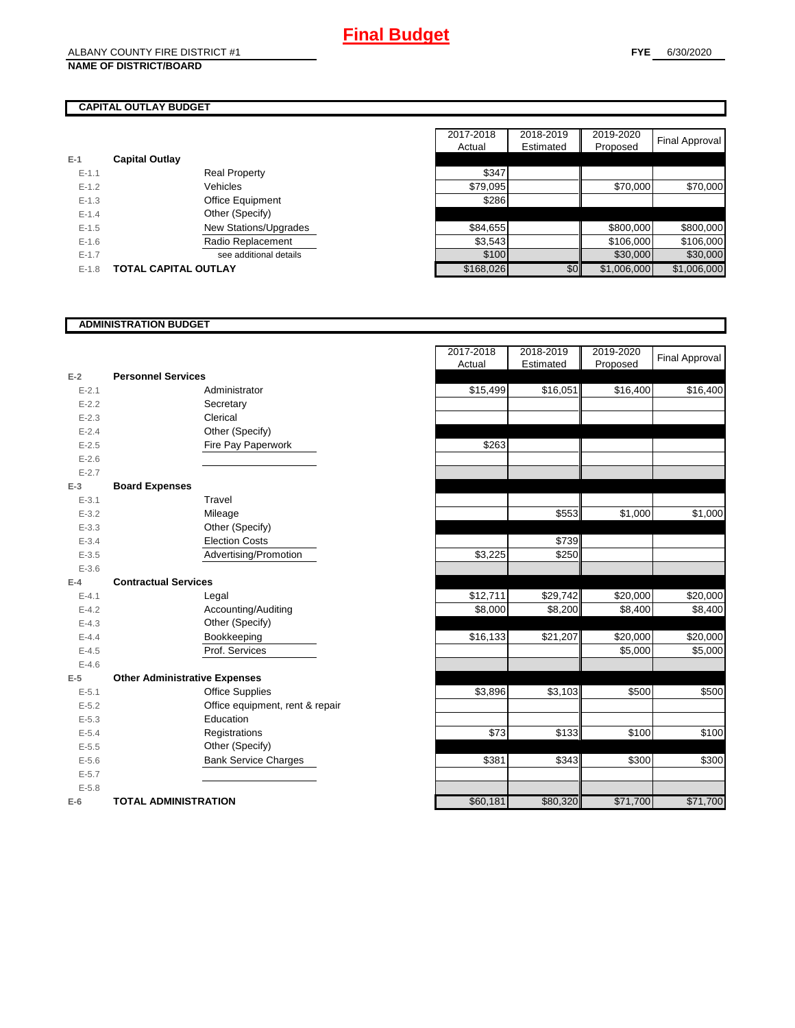#### **NAME OF DISTRICT/BOARD**

#### **CAPITAL OUTLAY BUDGET**

| $E-1$     | <b>Capital Outlay</b>       |           |
|-----------|-----------------------------|-----------|
| $E - 1.1$ | <b>Real Property</b>        | \$347     |
| $E - 1.2$ | Vehicles                    | \$79,095  |
| $E-1.3$   | <b>Office Equipment</b>     | \$286     |
| $E - 1.4$ | Other (Specify)             |           |
| $E-1.5$   | New Stations/Upgrades       | \$84,655  |
| $E-1.6$   | Radio Replacement           | \$3,543   |
| $E-1.7$   | see additional details      | \$100     |
| $E-1.8$   | <b>TOTAL CAPITAL OUTLAY</b> | \$168,026 |

|           |                             | 2017-2018 | 2018-2019 | 2019-2020   | Final Approval |
|-----------|-----------------------------|-----------|-----------|-------------|----------------|
|           |                             | Actual    | Estimated | Proposed    |                |
|           | <b>Capital Outlay</b>       |           |           |             |                |
| $E - 1.1$ | <b>Real Property</b>        | \$347     |           |             |                |
| $E-1.2$   | Vehicles                    | \$79,095  |           | \$70,000    | \$70,000       |
| $E - 1.3$ | <b>Office Equipment</b>     | \$286     |           |             |                |
| $E - 1.4$ | Other (Specify)             |           |           |             |                |
| $E-1.5$   | New Stations/Upgrades       | \$84,655  |           | \$800,000   | \$800,000      |
| $E - 1.6$ | Radio Replacement           | \$3,543   |           | \$106,000   | \$106,000      |
| $E - 1.7$ | see additional details      | \$100     |           | \$30,000    | \$30,000       |
| $E-1.8$   | <b>TOTAL CAPITAL OUTLAY</b> | \$168,026 | \$0       | \$1,006,000 | \$1,006,000    |

#### **ADMINISTRATION BUDGET**

|           |                                      |                                 | Auuar    | Lounialou |
|-----------|--------------------------------------|---------------------------------|----------|-----------|
| $E-2$     | <b>Personnel Services</b>            |                                 |          |           |
| $E - 2.1$ |                                      | Administrator                   | \$15,499 | \$16,051  |
| $E - 2.2$ |                                      | Secretary                       |          |           |
| $E - 2.3$ |                                      | Clerical                        |          |           |
| $E - 2.4$ |                                      | Other (Specify)                 |          |           |
| $E - 2.5$ |                                      | Fire Pay Paperwork              | \$263    |           |
| $E-2.6$   |                                      |                                 |          |           |
| $E - 2.7$ |                                      |                                 |          |           |
| $E-3$     | <b>Board Expenses</b>                |                                 |          |           |
| $E - 3.1$ |                                      | Travel                          |          |           |
| $E - 3.2$ |                                      | Mileage                         |          | \$553     |
| $E - 3.3$ |                                      | Other (Specify)                 |          |           |
| $E - 3.4$ |                                      | <b>Election Costs</b>           |          | \$739     |
| $E - 3.5$ |                                      | Advertising/Promotion           | \$3,225  | \$250     |
| $E - 3.6$ |                                      |                                 |          |           |
| $E-4$     | <b>Contractual Services</b>          |                                 |          |           |
| $E - 4.1$ |                                      | Legal                           | \$12,711 | \$29,742  |
| $E - 4.2$ |                                      | Accounting/Auditing             | \$8,000  | \$8,200   |
| $E - 4.3$ |                                      | Other (Specify)                 |          |           |
| $E-4.4$   |                                      | Bookkeeping                     | \$16,133 | \$21,207  |
| $E-4.5$   |                                      | Prof. Services                  |          |           |
| $E - 4.6$ |                                      |                                 |          |           |
| $E-5$     | <b>Other Administrative Expenses</b> |                                 |          |           |
| $E - 5.1$ |                                      | <b>Office Supplies</b>          | \$3,896  | \$3,103   |
| $E - 5.2$ |                                      | Office equipment, rent & repair |          |           |
| $E - 5.3$ |                                      | Education                       |          |           |
| $E - 5.4$ |                                      | Registrations                   | \$73     | \$133     |
| $E - 5.5$ |                                      | Other (Specify)                 |          |           |
| $E - 5.6$ |                                      | <b>Bank Service Charges</b>     | \$381    | \$343     |
| $E - 5.7$ |                                      |                                 |          |           |
| $E - 5.8$ |                                      |                                 |          |           |
| $E-6$     | <b>TOTAL ADMINISTRATION</b>          |                                 | \$60,181 | \$80,320  |

| $E-2$<br><b>Personnel Services</b><br>\$15,499<br>\$16,051<br>Administrator<br>$E - 2.1$<br>$E - 2.2$<br>Secretary<br>Clerical<br>$E - 2.3$<br>Other (Specify)<br>$E - 2.4$<br>Fire Pay Paperwork<br>\$263<br>$E - 2.5$<br>$E - 2.6$<br>$E - 2.7$<br>$E-3$<br><b>Board Expenses</b><br>$E - 3.1$<br>Travel<br>$\overline{$}553$<br>$E - 3.2$<br>Mileage<br>$E - 3.3$<br>Other (Specify)<br><b>Election Costs</b><br>\$739<br>$E - 3.4$<br>Advertising/Promotion<br>\$3,225<br>\$250<br>$E - 3.5$<br>$E - 3.6$<br><b>Contractual Services</b><br>$E-4$ | \$16,400<br>\$16,400       |
|-------------------------------------------------------------------------------------------------------------------------------------------------------------------------------------------------------------------------------------------------------------------------------------------------------------------------------------------------------------------------------------------------------------------------------------------------------------------------------------------------------------------------------------------------------|----------------------------|
|                                                                                                                                                                                                                                                                                                                                                                                                                                                                                                                                                       |                            |
|                                                                                                                                                                                                                                                                                                                                                                                                                                                                                                                                                       |                            |
|                                                                                                                                                                                                                                                                                                                                                                                                                                                                                                                                                       |                            |
|                                                                                                                                                                                                                                                                                                                                                                                                                                                                                                                                                       |                            |
|                                                                                                                                                                                                                                                                                                                                                                                                                                                                                                                                                       |                            |
|                                                                                                                                                                                                                                                                                                                                                                                                                                                                                                                                                       |                            |
|                                                                                                                                                                                                                                                                                                                                                                                                                                                                                                                                                       |                            |
|                                                                                                                                                                                                                                                                                                                                                                                                                                                                                                                                                       |                            |
|                                                                                                                                                                                                                                                                                                                                                                                                                                                                                                                                                       |                            |
|                                                                                                                                                                                                                                                                                                                                                                                                                                                                                                                                                       |                            |
|                                                                                                                                                                                                                                                                                                                                                                                                                                                                                                                                                       | \$1,000<br>\$1,000         |
|                                                                                                                                                                                                                                                                                                                                                                                                                                                                                                                                                       |                            |
|                                                                                                                                                                                                                                                                                                                                                                                                                                                                                                                                                       |                            |
|                                                                                                                                                                                                                                                                                                                                                                                                                                                                                                                                                       |                            |
|                                                                                                                                                                                                                                                                                                                                                                                                                                                                                                                                                       |                            |
|                                                                                                                                                                                                                                                                                                                                                                                                                                                                                                                                                       |                            |
| \$12,711<br>\$29,742<br>$E - 4.1$<br>Legal                                                                                                                                                                                                                                                                                                                                                                                                                                                                                                            | \$20,000<br>\$20,000       |
| Accounting/Auditing<br>\$8,000<br>\$8,200<br>$E - 4.2$                                                                                                                                                                                                                                                                                                                                                                                                                                                                                                | \$8,400<br>\$8,400         |
| Other (Specify)<br>$E - 4.3$                                                                                                                                                                                                                                                                                                                                                                                                                                                                                                                          |                            |
| \$16,133<br>\$21,207<br>$E - 4.4$<br>Bookkeeping                                                                                                                                                                                                                                                                                                                                                                                                                                                                                                      | \$20,000<br>\$20,000       |
| Prof. Services<br>$E - 4.5$                                                                                                                                                                                                                                                                                                                                                                                                                                                                                                                           | \$5,000<br>\$5,000         |
| $E - 4.6$                                                                                                                                                                                                                                                                                                                                                                                                                                                                                                                                             |                            |
| <b>Other Administrative Expenses</b><br>$E-5$                                                                                                                                                                                                                                                                                                                                                                                                                                                                                                         |                            |
| <b>Office Supplies</b><br>\$3,896<br>\$3,103<br>$E - 5.1$                                                                                                                                                                                                                                                                                                                                                                                                                                                                                             | \$500<br>\$500             |
| $E - 5.2$<br>Office equipment, rent & repair                                                                                                                                                                                                                                                                                                                                                                                                                                                                                                          |                            |
| Education<br>$E - 5.3$                                                                                                                                                                                                                                                                                                                                                                                                                                                                                                                                |                            |
| \$73<br>\$133<br>Registrations<br>$E - 5.4$                                                                                                                                                                                                                                                                                                                                                                                                                                                                                                           | \$100<br>$\overline{$100}$ |
| Other (Specify)<br>$E - 5.5$                                                                                                                                                                                                                                                                                                                                                                                                                                                                                                                          |                            |
| \$343<br><b>Bank Service Charges</b><br>\$381<br>$E-5.6$                                                                                                                                                                                                                                                                                                                                                                                                                                                                                              | \$300<br>\$300             |
| $E - 5.7$                                                                                                                                                                                                                                                                                                                                                                                                                                                                                                                                             |                            |
| $E - 5.8$                                                                                                                                                                                                                                                                                                                                                                                                                                                                                                                                             |                            |
| \$80,320<br>\$71,700<br><b>TOTAL ADMINISTRATION</b><br>\$60,181<br>$E-6$                                                                                                                                                                                                                                                                                                                                                                                                                                                                              |                            |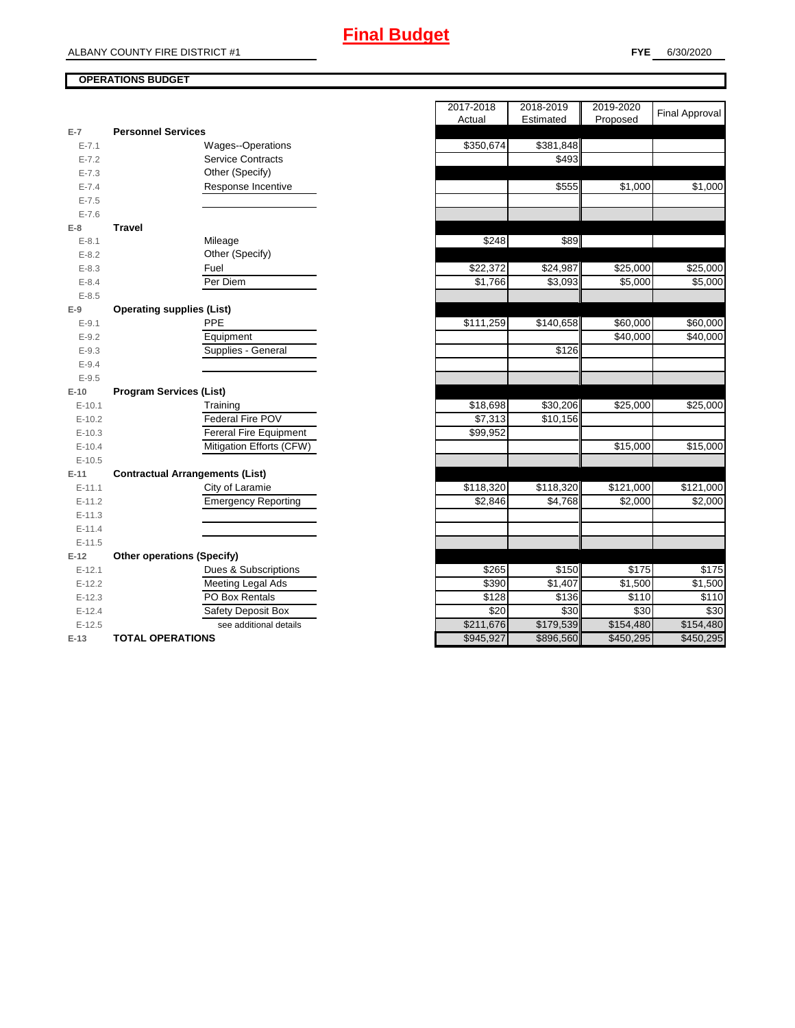#### **OPERATIONS BUDGET**

|           |                                        | nuuai     | Lournatou |
|-----------|----------------------------------------|-----------|-----------|
| $E-7$     | <b>Personnel Services</b>              |           |           |
| $E - 7.1$ | Wages--Operations                      | \$350,674 | \$381,848 |
| $E - 7.2$ | <b>Service Contracts</b>               |           | \$493     |
| $E - 7.3$ | Other (Specify)                        |           |           |
| $E - 7.4$ | Response Incentive                     |           | \$555     |
| $E - 7.5$ |                                        |           |           |
| $E - 7.6$ |                                        |           |           |
| $E-8$     | <b>Travel</b>                          |           |           |
| $E - 8.1$ | Mileage                                | \$248     | \$89      |
| $E - 8.2$ | Other (Specify)                        |           |           |
| $E-8.3$   | Fuel                                   | \$22,372  | \$24,987  |
| $E - 8.4$ | Per Diem                               | \$1,766   | \$3,093   |
| $E - 8.5$ |                                        |           |           |
| $E-9$     | <b>Operating supplies (List)</b>       |           |           |
| $E - 9.1$ | PPE                                    | \$111,259 | \$140,658 |
| $E - 9.2$ | Equipment                              |           |           |
| $E - 9.3$ | Supplies - General                     |           | \$126     |
| $E-9.4$   |                                        |           |           |
| $E - 9.5$ |                                        |           |           |
| $E-10$    | <b>Program Services (List)</b>         |           |           |
| $E-10.1$  | Training                               | \$18,698  | \$30,206  |
| $E-10.2$  | Federal Fire POV                       | \$7,313   | \$10,156  |
| $E-10.3$  | <b>Fereral Fire Equipment</b>          | \$99,952  |           |
| $E-10.4$  | Mitigation Efforts (CFW)               |           |           |
| $E-10.5$  |                                        |           |           |
| $E-11$    | <b>Contractual Arrangements (List)</b> |           |           |
| $E-11.1$  | City of Laramie                        | \$118,320 | \$118,320 |
| $E-11.2$  | <b>Emergency Reporting</b>             | \$2,846   | \$4,768   |
| $E-11.3$  |                                        |           |           |
| $E-11.4$  |                                        |           |           |
| $E-11.5$  |                                        |           |           |
| $E-12$    | <b>Other operations (Specify)</b>      |           |           |
| $E-12.1$  | Dues & Subscriptions                   | \$265     | \$150     |
| $E-12.2$  | Meeting Legal Ads                      | \$390     | \$1,407   |
| $E-12.3$  | PO Box Rentals                         | \$128     | \$136     |
| $E-12.4$  | Safety Deposit Box                     | \$20      | \$30      |
| $E-12.5$  | see additional details                 | \$211,676 | \$179,539 |
| $E-13$    | <b>TOTAL OPERATIONS</b>                | \$945,927 | \$896,560 |

|           |                                        | 2017-2018             | 2018-2019 | 2019-2020 |                       |
|-----------|----------------------------------------|-----------------------|-----------|-----------|-----------------------|
|           |                                        | Actual                | Estimated | Proposed  | <b>Final Approval</b> |
| $E-7$     | <b>Personnel Services</b>              |                       |           |           |                       |
| $E - 7.1$ | <b>Wages--Operations</b>               | \$350,674             | \$381,848 |           |                       |
| $E - 7.2$ | <b>Service Contracts</b>               |                       | \$493     |           |                       |
| $E - 7.3$ | Other (Specify)                        |                       |           |           |                       |
| $E - 7.4$ | Response Incentive                     |                       | \$555     | \$1,000   | \$1,000               |
| $E - 7.5$ |                                        |                       |           |           |                       |
| $E - 7.6$ |                                        |                       |           |           |                       |
| E-8       | <b>Travel</b>                          |                       |           |           |                       |
| $E - 8.1$ | Mileage                                | \$248                 | \$89      |           |                       |
| $E - 8.2$ | Other (Specify)                        |                       |           |           |                       |
| $E - 8.3$ | Fuel                                   | \$22,372              | \$24,987  | \$25,000  | \$25,000              |
| $E - 8.4$ | Per Diem                               | \$1,766               | \$3,093   | \$5,000   | \$5,000               |
| $E - 8.5$ |                                        |                       |           |           |                       |
| $E-9$     | <b>Operating supplies (List)</b>       |                       |           |           |                       |
| $E-9.1$   | PPE                                    | $\overline{$111,259}$ | \$140,658 | \$60,000  | \$60,000              |
| $E - 9.2$ | Equipment                              |                       |           | \$40,000  | \$40,000              |
| $E - 9.3$ | Supplies - General                     |                       | \$126     |           |                       |
| $E - 9.4$ |                                        |                       |           |           |                       |
| $E - 9.5$ |                                        |                       |           |           |                       |
| E-10      | <b>Program Services (List)</b>         |                       |           |           |                       |
| $E-10.1$  | Training                               | \$18,698              | \$30,206  | \$25,000  | \$25,000              |
| $E-10.2$  | Federal Fire POV                       | \$7,313               | \$10,156  |           |                       |
| $E-10.3$  | Fereral Fire Equipment                 | \$99,952              |           |           |                       |
| $E-10.4$  | Mitigation Efforts (CFW)               |                       |           | \$15,000  | \$15,000              |
| $E-10.5$  |                                        |                       |           |           |                       |
| $E-11$    | <b>Contractual Arrangements (List)</b> |                       |           |           |                       |
| $E-11.1$  | City of Laramie                        | \$118,320             | \$118,320 | \$121,000 | \$121,000             |
| $E-11.2$  | <b>Emergency Reporting</b>             | \$2,846               | \$4,768   | \$2,000   | \$2,000               |
| $E-11.3$  |                                        |                       |           |           |                       |
| $E-11.4$  |                                        |                       |           |           |                       |
| $E-11.5$  |                                        |                       |           |           |                       |
| E-12      | <b>Other operations (Specify)</b>      |                       |           |           |                       |
| $E-12.1$  | Dues & Subscriptions                   | \$265                 | \$150     | \$175     | \$175                 |
| $E-12.2$  | Meeting Legal Ads                      | \$390                 | \$1,407   | \$1,500   | \$1,500               |
| $E-12.3$  | PO Box Rentals                         | \$128                 | \$136     | \$110     | \$110                 |
| $E-12.4$  | Safety Deposit Box                     | \$20                  | \$30      | \$30      | \$30                  |
| $E-12.5$  | see additional details                 | \$211,676             | \$179,539 | \$154,480 | \$154,480             |
| E-13      | <b>TOTAL OPERATIONS</b>                | \$945,927             | \$896,560 | \$450,295 | \$450,295             |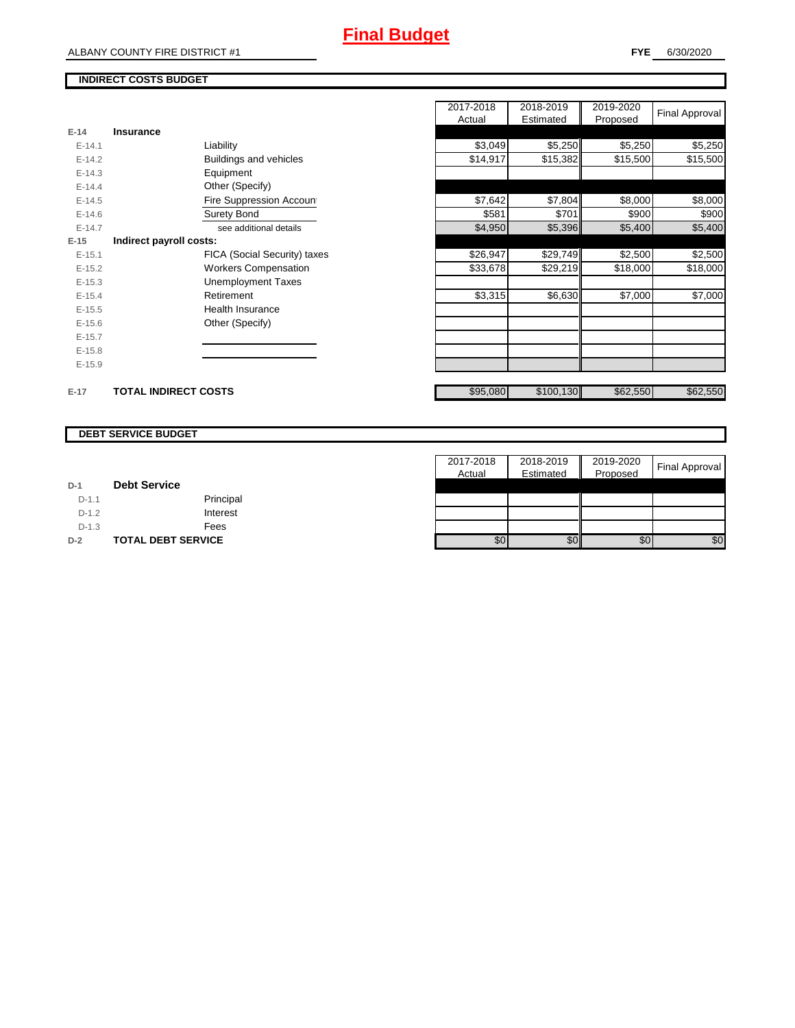## **Final Budget**

٦

### **INDIRECT COSTS BUDGET**

ALBANY COUNTY FIRE DISTRICT #1

|          |                             |                               | 2017-2018 | 2018-2019 | 2019-2020 | <b>Final Approval</b> |
|----------|-----------------------------|-------------------------------|-----------|-----------|-----------|-----------------------|
|          |                             |                               | Actual    | Estimated | Proposed  |                       |
| $E-14$   | Insurance                   |                               |           |           |           |                       |
| $E-14.1$ |                             | Liability                     | \$3,049   | \$5,250   | \$5,250   | \$5,250               |
| $E-14.2$ |                             | <b>Buildings and vehicles</b> | \$14,917  | \$15,382  | \$15,500  | \$15,500              |
| $E-14.3$ |                             | Equipment                     |           |           |           |                       |
| $E-14.4$ |                             | Other (Specify)               |           |           |           |                       |
| $E-14.5$ |                             | Fire Suppression Account      | \$7,642   | \$7,804   | \$8,000   | \$8,000               |
| $E-14.6$ |                             | Surety Bond                   | \$581     | \$701     | \$900     | \$900                 |
| $E-14.7$ |                             | see additional details        | \$4,950   | \$5,396   | \$5,400   | \$5,400               |
| $E-15$   | Indirect payroll costs:     |                               |           |           |           |                       |
| $E-15.1$ |                             | FICA (Social Security) taxes  | \$26,947  | \$29,749  | \$2,500   | \$2,500               |
| $E-15.2$ |                             | <b>Workers Compensation</b>   | \$33,678  | \$29,219  | \$18,000  | \$18,000              |
| $E-15.3$ |                             | <b>Unemployment Taxes</b>     |           |           |           |                       |
| $E-15.4$ |                             | Retirement                    | \$3,315   | \$6,630   | \$7,000   | \$7,000               |
| $E-15.5$ |                             | <b>Health Insurance</b>       |           |           |           |                       |
| $E-15.6$ |                             | Other (Specify)               |           |           |           |                       |
| $E-15.7$ |                             |                               |           |           |           |                       |
| $E-15.8$ |                             |                               |           |           |           |                       |
| $E-15.9$ |                             |                               |           |           |           |                       |
| $E-17$   | <b>TOTAL INDIRECT COSTS</b> |                               | \$95,080  | \$100,130 | \$62,550  | \$62,550              |

#### **DEBT SERVICE BUDGET**

|         |                           | 2017-2018        | 2018-2019 | 2019-2020 | <b>Final Approval</b> |
|---------|---------------------------|------------------|-----------|-----------|-----------------------|
|         |                           | Actual           | Estimated | Proposed  |                       |
| $D-1$   | <b>Debt Service</b>       |                  |           |           |                       |
| $D-1.1$ | Principal                 |                  |           |           |                       |
| $D-1.2$ | Interest                  |                  |           |           |                       |
| $D-1.3$ | Fees                      |                  |           |           |                       |
| $D-2$   | <b>TOTAL DEBT SERVICE</b> | \$0 <sub>1</sub> | \$0       | \$0       | \$0                   |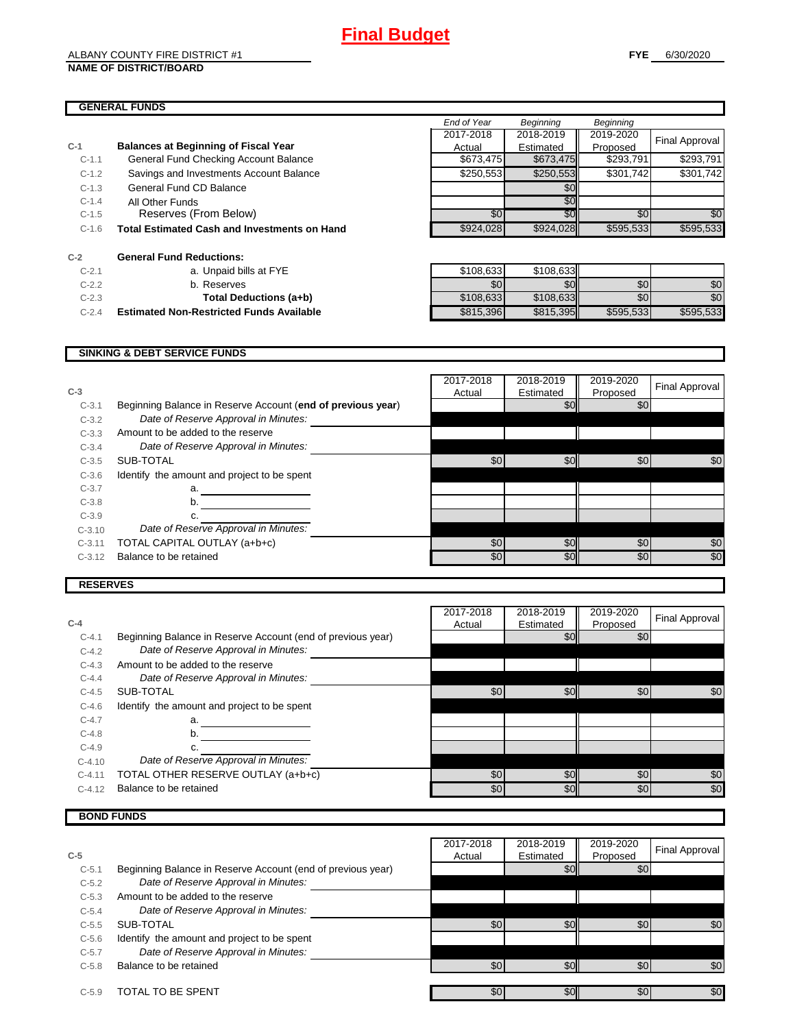#### **GENERAL FUNDS**

|         |                                                     | End of Year | <b>Beginning</b> | Beginning |                       |
|---------|-----------------------------------------------------|-------------|------------------|-----------|-----------------------|
|         |                                                     | 2017-2018   | 2018-2019        | 2019-2020 | <b>Final Approval</b> |
| $C-1$   | <b>Balances at Beginning of Fiscal Year</b>         | Actual      | Estimated        | Proposed  |                       |
| $C-1.1$ | General Fund Checking Account Balance               | \$673,475   | \$673,475        | \$293,791 | \$293,791             |
| $C-1.2$ | Savings and Investments Account Balance             | \$250,553   | \$250,553        | \$301,742 | \$301,742             |
| $C-1.3$ | General Fund CD Balance                             |             | \$0              |           |                       |
| $C-1.4$ | All Other Funds                                     |             | \$0              |           |                       |
| $C-1.5$ | Reserves (From Below)                               | \$0         | \$0              | \$0       | \$0                   |
| $C-1.6$ | <b>Total Estimated Cash and Investments on Hand</b> | \$924,028   | \$924,028        | \$595,533 | \$595,533             |
| $C-2$   | <b>General Fund Reductions:</b>                     |             |                  |           |                       |
| $C-2.1$ | a. Unpaid bills at FYE                              | \$108,633   | \$108,633        |           |                       |
| $C-2.2$ | b. Reserves                                         | \$0         | \$0 <sub>1</sub> | \$0       | \$0                   |
| $C-2.3$ | Total Deductions (a+b)                              | \$108,633   | \$108,633        | \$0       | \$0                   |
| $C-2.4$ | <b>Estimated Non-Restricted Funds Available</b>     | \$815,396   | \$815,395        | \$595,533 | \$595,533             |
|         |                                                     |             |                  |           |                       |

#### **SINKING & DEBT SERVICE FUNDS**

| $C-3$    |                                                             | 2017-2018<br>Actual | 2018-2019<br>Estimated | 2019-2020<br>Proposed | Final Approval |
|----------|-------------------------------------------------------------|---------------------|------------------------|-----------------------|----------------|
| $C-3.1$  | Beginning Balance in Reserve Account (end of previous year) |                     | \$0                    | \$0                   |                |
| $C-3.2$  | Date of Reserve Approval in Minutes:                        |                     |                        |                       |                |
| $C-3.3$  | Amount to be added to the reserve                           |                     |                        |                       |                |
| $C-3.4$  | Date of Reserve Approval in Minutes:                        |                     |                        |                       |                |
| $C-3.5$  | SUB-TOTAL                                                   | \$0                 | \$0                    | \$0                   | \$0            |
| $C-3.6$  | Identify the amount and project to be spent                 |                     |                        |                       |                |
| $C-3.7$  | a.                                                          |                     |                        |                       |                |
| $C-3.8$  | b.                                                          |                     |                        |                       |                |
| $C-3.9$  | c.                                                          |                     |                        |                       |                |
| $C-3.10$ | Date of Reserve Approval in Minutes:                        |                     |                        |                       |                |
| $C-3.11$ | TOTAL CAPITAL OUTLAY (a+b+c)                                | \$0                 | \$0                    | \$0                   | \$0            |
| $C-3.12$ | Balance to be retained                                      | \$0                 | \$0                    | \$0                   | \$0            |
|          |                                                             |                     |                        |                       |                |

#### **RESERVES**

| $C-4$      |                                                             | 2017-2018<br>Actual | 2018-2019<br>Estimated | 2019-2020       | <b>Final Approval</b> |
|------------|-------------------------------------------------------------|---------------------|------------------------|-----------------|-----------------------|
| $C-4.1$    | Beginning Balance in Reserve Account (end of previous year) |                     | \$0                    | Proposed<br>\$0 |                       |
|            |                                                             |                     |                        |                 |                       |
| $C-4.2$    | Date of Reserve Approval in Minutes:                        |                     |                        |                 |                       |
| $C-4.3$    | Amount to be added to the reserve                           |                     |                        |                 |                       |
| $C - 4.4$  | Date of Reserve Approval in Minutes:                        |                     |                        |                 |                       |
| $C-4.5$    | SUB-TOTAL                                                   | \$0                 | \$0                    | \$0             | \$0                   |
| $C-4.6$    | Identify the amount and project to be spent                 |                     |                        |                 |                       |
| $C-4.7$    | a.                                                          |                     |                        |                 |                       |
| $C-4.8$    | b.                                                          |                     |                        |                 |                       |
| $C-4.9$    |                                                             |                     |                        |                 |                       |
| $C-4.10$   | Date of Reserve Approval in Minutes:                        |                     |                        |                 |                       |
| $C - 4.11$ | TOTAL OTHER RESERVE OUTLAY (a+b+c)                          | \$0                 | \$0                    | \$0             | \$0                   |
| $C-4.12$   | Balance to be retained                                      | \$0                 | \$0                    | \$0             | \$0                   |

#### **BOND FUNDS**

|         |                                                             | 2017-2018 | 2018-2019 | 2019-2020 |                |
|---------|-------------------------------------------------------------|-----------|-----------|-----------|----------------|
| $C-5$   |                                                             | Actual    | Estimated | Proposed  | Final Approval |
| $C-5.1$ | Beginning Balance in Reserve Account (end of previous year) |           | \$0       | \$0       |                |
| $C-5.2$ | Date of Reserve Approval in Minutes:                        |           |           |           |                |
| $C-5.3$ | Amount to be added to the reserve                           |           |           |           |                |
| $C-5.4$ | Date of Reserve Approval in Minutes:                        |           |           |           |                |
| $C-5.5$ | SUB-TOTAL                                                   | \$0       | \$0       | \$0       | \$0            |
| $C-5.6$ | Identify the amount and project to be spent                 |           |           |           |                |
| $C-5.7$ | Date of Reserve Approval in Minutes:                        |           |           |           |                |
| $C-5.8$ | Balance to be retained                                      | \$0       | \$0       | \$0       | \$0            |
|         |                                                             |           |           |           |                |
| $C-5.9$ | TOTAL TO BE SPENT                                           | \$0       | \$0       | \$0       | \$0            |